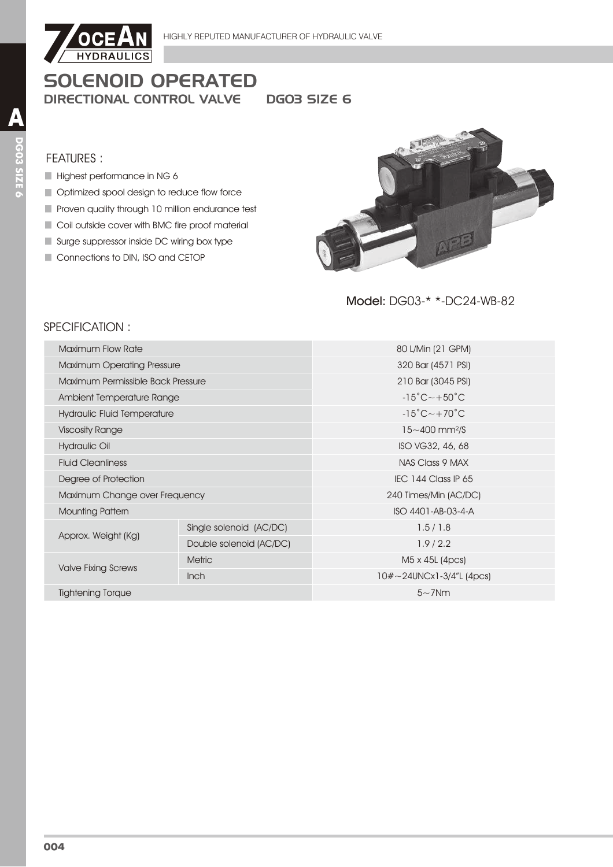

**DGO3 SIZE 6** 

#### **FEATURES:**

- Highest performance in NG 6
- Optimized spool design to reduce flow force
- Proven quality through 10 million endurance test
- Coil outside cover with BMC fire proof material
- Surge suppressor inside DC wiring box type
- Connections to DIN, ISO and CETOP



## Model: DG03-\* \*-DC24-WB-82

## SPECIFICATION:

| Maximum Flow Rate                         |                         | 80 L/Min (21 GPM)                        |  |  |
|-------------------------------------------|-------------------------|------------------------------------------|--|--|
| <b>Maximum Operating Pressure</b>         |                         | 320 Bar (4571 PSI)                       |  |  |
| Maximum Permissible Back Pressure         |                         | 210 Bar (3045 PSI)                       |  |  |
| Ambient Temperature Range                 |                         | $-15^{\circ}$ C $\sim$ +50 $^{\circ}$ C  |  |  |
| <b>Hydraulic Fluid Temperature</b>        |                         | $-15^{\circ}$ C $\sim$ +70 $^{\circ}$ C  |  |  |
| <b>Viscosity Range</b>                    |                         | $15 - 400$ mm <sup>2</sup> /S            |  |  |
| Hydraulic Oil                             |                         | ISO VG32, 46, 68                         |  |  |
| <b>Fluid Cleanliness</b>                  |                         | NAS Class 9 MAX                          |  |  |
| Degree of Protection                      |                         | IEC 144 Class IP 65                      |  |  |
| Maximum Change over Frequency             |                         | 240 Times/Min (AC/DC)                    |  |  |
| <b>Mounting Pattern</b>                   |                         | ISO 4401-AB-03-4-A                       |  |  |
|                                           | Single solenoid (AC/DC) | 1.5/1.8                                  |  |  |
| Approx. Weight (Kg)                       | Double solenoid (AC/DC) | 1.9/2.2                                  |  |  |
|                                           | <b>Metric</b>           | M <sub>5</sub> x 4 <sub>5</sub> L (4pcs) |  |  |
| <b>Valve Fixing Screws</b><br><b>Inch</b> |                         | $10\# \sim$ 24UNCx1-3/4"L (4pcs)         |  |  |
| <b>Tightening Torque</b>                  |                         | $5\sim$ 7Nm                              |  |  |
|                                           |                         |                                          |  |  |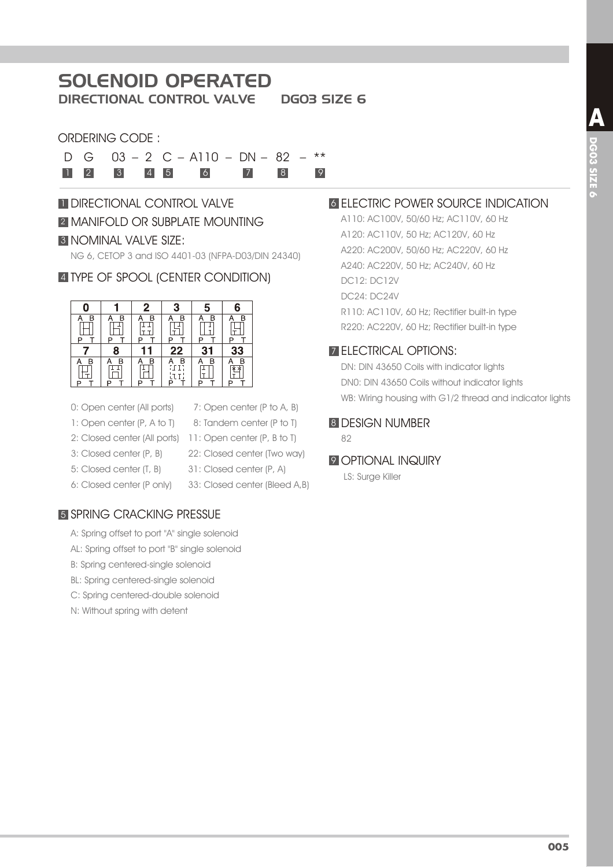# SOLENOID OPERATED

DIRECTIONAL CONTROL VALVE DG03 SIZE 6

### ORDERING CODE :

D G 03 – 2 C – A110 – DN – 82 – \*\* 1 2 3 4 5 6 7 8 9

# **1 DIRECTIONAL CONTROL VALVE 2 MANIFOLD OR SUBPLATE MOUNTING** 3 NOMINAL VALVE SIZE:

NG 6, CETOP 3 and ISO 4401-03 (NFPA-D03/DIN 24340)

## 4 TYPE OF SPOOL (CENTER CONDITION)



- 0: Open center (All ports)
- 1: Open center (P, A to T)
- 
- 3: Closed center (P, B)
- 5: Closed center (T, B)
- 6: Closed center (P only)
- 8: Tandem center (P to T) 2: Closed center (All ports) 11: Open center (P, B to T) 22: Closed center (Two way) 31: Closed center (P, A) 33: Closed center (Bleed A,B)

7: Open center (P to A, B)

# **5 SPRING CRACKING PRESSUE**

- A: Spring offset to port "A" single solenoid
- AL: Spring offset to port "B" single solenoid
- B: Spring centered-single solenoid
- BL: Spring centered-single solenoid
- C: Spring centered-double solenoid
- N: Without spring with detent

## **6 ELECTRIC POWER SOURCE INDICATION**

A110: AC100V, 50/60 Hz; AC110V, 60 Hz A120: AC110V, 50 Hz; AC120V, 60 Hz A220: AC200V, 50/60 Hz; AC220V, 60 Hz A240: AC220V, 50 Hz; AC240V, 60 Hz DC12: DC12V DC24: DC24V R110: AC110V, 60 Hz; Rectifier built-in type R220: AC220V, 60 Hz; Rectifier built-in type

## 7 ELECTRICAL OPTIONS:

DN: DIN 43650 Coils with indicator lights DN0: DIN 43650 Coils without indicator lights WB: Wiring housing with G1/2 thread and indicator lights

#### 8 DESIGN NUMBER

82

#### **9 OPTIONAL INQUIRY**

LS: Surge Killer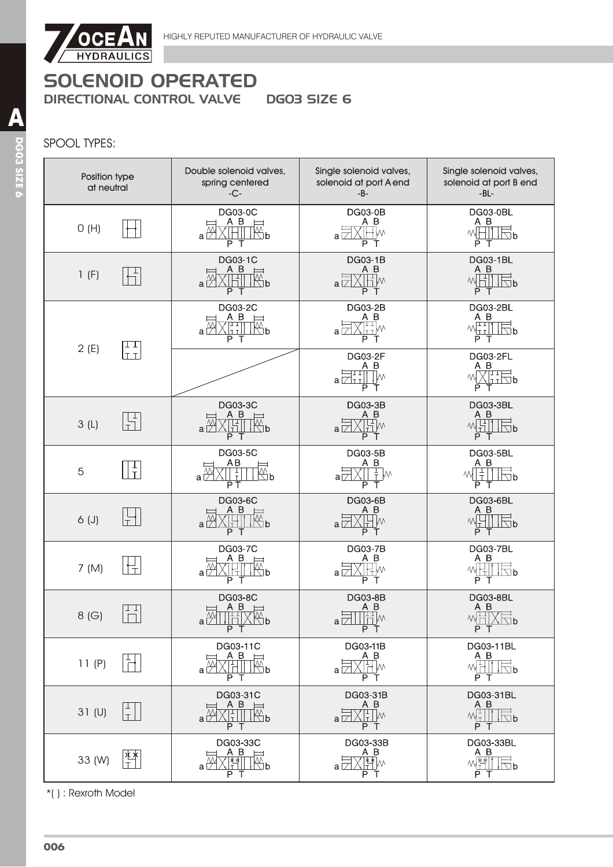

## SPOOL TYPES:

| Position type<br>at neutral | Double solenoid valves,<br>spring centered<br>$-C-$                                                                                       | Single solenoid valves,<br>solenoid at port A end<br>$-B-$                    | Single solenoid valves,<br>solenoid at port B end<br>$-BL -$                                                                                                                                                                                                                                                                                                                                                                                                                    |
|-----------------------------|-------------------------------------------------------------------------------------------------------------------------------------------|-------------------------------------------------------------------------------|---------------------------------------------------------------------------------------------------------------------------------------------------------------------------------------------------------------------------------------------------------------------------------------------------------------------------------------------------------------------------------------------------------------------------------------------------------------------------------|
| O(H)                        | <b>DG03-0C</b><br>A B<br>$\mathbb{Z}^\mathsf{p}$<br>$a \nabla$<br>ΡТ                                                                      | <b>DG03-0B</b><br>A B<br>∤l∧<br>al<br>P<br>Т                                  | DG03-0BL<br>A B<br>M<br>$\Box$ b<br>ΡТ                                                                                                                                                                                                                                                                                                                                                                                                                                          |
| 1(F)                        | DG03-1C<br>A B<br>$\mathfrak{B}% _{T}=\mathfrak{B}_{T}\!\left( a,b\right) ,\mathfrak{C}_{T}=C_{T}\!\left( a,b\right) ,$<br>$a\nabla$<br>Ρ | DG03-1B<br>A B<br>Hw<br>a l<br>P<br>т                                         | <b>DG03-1BL</b><br>A B<br>WHI<br>$\Box$ b<br>PТ                                                                                                                                                                                                                                                                                                                                                                                                                                 |
| ⊥⊥<br>2(E)                  | DG03-2C<br>ΑB<br>l∰p<br>аE<br> TT <br>РТ                                                                                                  | DG03-2B<br>A B<br>Tim<br>a l<br>P<br>$\top$                                   | <b>DG03-2BL</b><br>A B<br>$M_{\text{int}}^{\text{max}}$<br>$\Box$ b<br>ΡТ                                                                                                                                                                                                                                                                                                                                                                                                       |
| TT <sub></sub>              |                                                                                                                                           | DG03-2F<br>A B<br>$a\overleftrightarrow{Z_{11}}$<br>ŢM<br>$\overline{P}$<br>т | <b>DG03-2FL</b><br>A B<br>XHTH b<br>лvі.<br>P<br>Т                                                                                                                                                                                                                                                                                                                                                                                                                              |
| 녺<br>3(L)                   | DG03-3C<br>A B<br>a <sup>∑</sup><br>मा<br>$\mathbb{R}^{\mathsf{p}}$<br>РΤ                                                                 | DG03-3B<br>A B<br>Hw<br>al<br>РT                                              | <b>DG03-3BL</b><br>A B<br>$M_{\text{H}}$<br>$\Box$ p<br>$\overline{P}$ T                                                                                                                                                                                                                                                                                                                                                                                                        |
| $\frac{1}{T}$<br>5          | DG03-5C<br>AB<br>$\overline{\mathbb{R}}$ b<br>$\frac{1}{T}$<br>$a^{\bar{W}}$<br>РT                                                        | DG03-5B<br>A B<br>$\frac{1}{T}$<br>W٧<br>аГ<br>PТ                             | <b>DG03-5BL</b><br>A B<br>$rac{1}{1}$<br>МW<br>$\overline{\triangle}$ b<br>P T                                                                                                                                                                                                                                                                                                                                                                                                  |
| $6($ J $)$                  | <b>DG03-6C</b><br>A B<br>$\overline{\mathbb{W}}$ b<br>аD<br>Ρ<br>T                                                                        | <b>DG03-6B</b><br>A B<br>W٧<br>a<br>T<br>PT                                   | DG03-6BL<br>A B<br>WH<br>$\Box b$<br>PT                                                                                                                                                                                                                                                                                                                                                                                                                                         |
| 7 (M)                       | <b>DG03-7C</b><br><u>A B</u><br>$\overline{\mathbb{E}}$ <sub>b</sub><br>$a\bar{\overset{\wedge}{\mathcal{V}}}$<br>Р<br>Т                  | DG03-7B<br>A B<br>W١<br>а Г.<br>Р<br>т                                        | <b>DG03-7BL</b><br>A B<br>씨H<br>$\Box$ b<br>ΡТ                                                                                                                                                                                                                                                                                                                                                                                                                                  |
| T T<br>8(G)                 | <b>DG03-8C</b><br>ΑB<br>$a \overset{N}{\cancel{\smile}}$<br>b<br>P T                                                                      | DG03-8B<br>A B<br>$\frac{A}{\prod_{i=1}^{n}W_i}$<br>P T                       | DG03-8BL<br>$\begin{array}{c}\n\mathbf{A} & \mathbf{B} \\ \mathbf{A} & \mathbf{B} \\ \hline\n\mathbf{C} & \mathbf{A} \\ \hline\n\mathbf{C} & \mathbf{A} \\ \hline\n\mathbf{A} & \mathbf{A} \\ \hline\n\mathbf{A} & \mathbf{A} \\ \hline\n\mathbf{A} & \mathbf{A} \\ \hline\n\mathbf{A} & \mathbf{A} \\ \hline\n\mathbf{A} & \mathbf{A} \\ \hline\n\mathbf{A} & \mathbf{A} \\ \hline\n\mathbf{A} & \mathbf{A} \\ \hline\n\mathbf{A} & \mathbf{A} \\ \hline\n$<br>$\Box$ b<br>P T |
| 11(P)                       | DG03-11C<br>A B<br>$\qquad \qquad \Box$<br>$\mathbb{R}^n$ b<br>a l<br>P T                                                                 | DG03-11B<br>A B<br>Hw<br>a<br>РŤ                                              | DG03-11BL<br>A B<br>₩H<br>√ ⊡ b<br>PТ                                                                                                                                                                                                                                                                                                                                                                                                                                           |
| 31 <sub>(U)</sub><br>$\top$ | DG03-31C<br>A B<br>$\overline{\mathbb{R}}$ b<br>L.<br>$a\vert$<br>РT                                                                      | DG03-31B<br>A B<br>$\frac{1}{2}$ M<br>Iт.<br>aι<br>PT                         | DG03-31BL<br>A B<br>$\mathcal{N}_{\mathbb{L}}^{\mathbb{L}}$<br>∖⊡<br>P T                                                                                                                                                                                                                                                                                                                                                                                                        |
| ∗⊻<br>33 (W)                | DG03-33C<br>A B<br>$\overline{\mathbb{M}}$ b<br>$a \mid$<br>PТ                                                                            | DG03-33B<br>A B<br><u>kr</u><br>al<br>P T                                     | DG03-33BL<br>A B<br>w <u>\** </u><br>$\Box$ b<br>P T                                                                                                                                                                                                                                                                                                                                                                                                                            |

\*( ) : Rexroth Model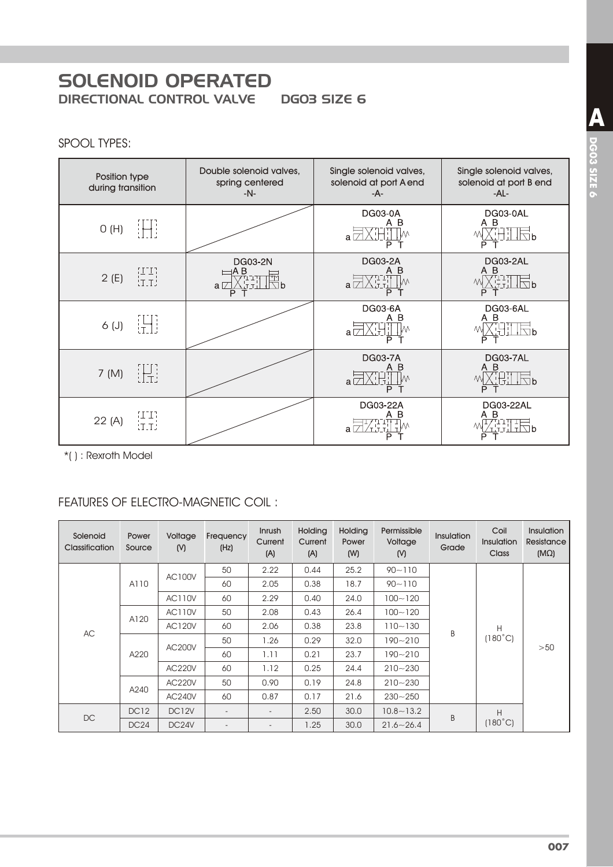**DGO3 SIZE 6** 

## SPOOL TYPES:

| Position type<br>during transition | Double solenoid valves,<br>spring centered<br>$-N-$       | Single solenoid valves,<br>solenoid at port A end<br>-A- | Single solenoid valves,<br>solenoid at port B end<br>-AL- |
|------------------------------------|-----------------------------------------------------------|----------------------------------------------------------|-----------------------------------------------------------|
| iHi<br>O(H)                        |                                                           | <b>DG03-0A</b><br>A B<br>$a^{\dagger}$<br>Р              | DG03-0AL<br>A B<br>$\boxdot$ b<br>P                       |
| ן ביבן<br>נדבל<br>2(E)             | <b>DG03-2N</b><br>⊧A B<br>יִבחַ<br>$a \nabla$<br>∖⊓h<br>P | DG03-2A<br>B<br>A<br>$a\Box$<br>P                        | DG03-2AL<br>A B<br>$\sqrt{2}$<br>P                        |
| iHi<br>$6($ J $)$                  |                                                           | DG03-6A<br>A B<br>a l<br>Р                               | DG03-6AL<br>A B<br>$\sqrt{2}$<br>P                        |
| H.<br>7 (M)                        |                                                           | <b>DG03-7A</b><br>Α<br>B<br>a<br>Р                       | DG03-7AL<br>A B<br>괚<br>$\sqrt{2}b$<br>P                  |
| SI I R<br>22 (A)<br><b>ET_T</b>    |                                                           | DG03-22A<br>В<br>a l                                     | DG03-22AL<br>A B<br>$\frac{1}{2}$                         |

\*(): Rexroth Model

# **FEATURES OF ELECTRO-MAGNETIC COIL:**

| Solenoid<br><b>Classification</b> | Power<br>Source                        | Voltage<br>(N)                         | Frequency<br>(Hz)        | Inrush<br>Current<br>(A) | <b>Holding</b><br>Current<br>(A) | <b>Holding</b><br>Power<br>(W) | Permissible<br>Voltage<br>(N) | Insulation<br>Grade | Coil<br>Insulation<br>Class | <b>Insulation</b><br>Resistance<br>$(M\Omega)$ |
|-----------------------------------|----------------------------------------|----------------------------------------|--------------------------|--------------------------|----------------------------------|--------------------------------|-------------------------------|---------------------|-----------------------------|------------------------------------------------|
|                                   |                                        | <b>AC100V</b>                          | 50                       | 2.22                     | 0.44                             | 25.2                           | $90 - 110$                    |                     |                             |                                                |
|                                   | A110                                   |                                        | 60                       | 2.05                     | 0.38                             | 18.7                           | $90 - 110$                    |                     |                             |                                                |
|                                   |                                        | <b>AC110V</b>                          | 60                       | 2.29                     | 0.40                             | 24.0                           | $100 - 120$                   |                     |                             |                                                |
|                                   | <b>AC110V</b><br>A120<br><b>AC120V</b> |                                        | 50                       | 2.08                     | 0.43                             | 26.4                           | $100 - 120$                   |                     |                             |                                                |
| AC                                |                                        |                                        | 60                       | 2.06                     | 0.38                             | 23.8                           | $110 - 130$                   | B                   | Н                           |                                                |
|                                   |                                        |                                        | 50                       | 1.26                     | 0.29                             | 32.0                           | 190~210                       |                     | $(180^{\circ}C)$            | >50                                            |
|                                   | A220                                   | AC200V                                 | 60                       | 1.11                     | 0.21                             | 23.7                           | $190 - 210$                   |                     |                             |                                                |
|                                   |                                        | <b>AC220V</b>                          | 60                       | 1.12                     | 0.25                             | 24.4                           | $210 - 230$                   |                     |                             |                                                |
|                                   |                                        | <b>AC220V</b><br>A240<br><b>AC240V</b> | 50                       | 0.90                     | 0.19                             | 24.8                           | $210 - 230$                   |                     |                             |                                                |
|                                   |                                        |                                        | 60                       | 0.87                     | 0.17                             | 21.6                           | $230 - 250$                   |                     |                             |                                                |
| DC                                | <b>DC12</b>                            | DC <sub>12V</sub>                      | $\overline{\phantom{a}}$ | $\overline{\phantom{a}}$ | 2.50                             | 30.0                           | $10.8 - 13.2$                 | B                   | H                           |                                                |
|                                   | DC24                                   | DC <sub>24</sub> V                     | $\overline{\phantom{a}}$ | $\overline{a}$           | 1.25                             | 30.0                           | $21.6 - 26.4$                 |                     | $(180^{\circ}C)$            |                                                |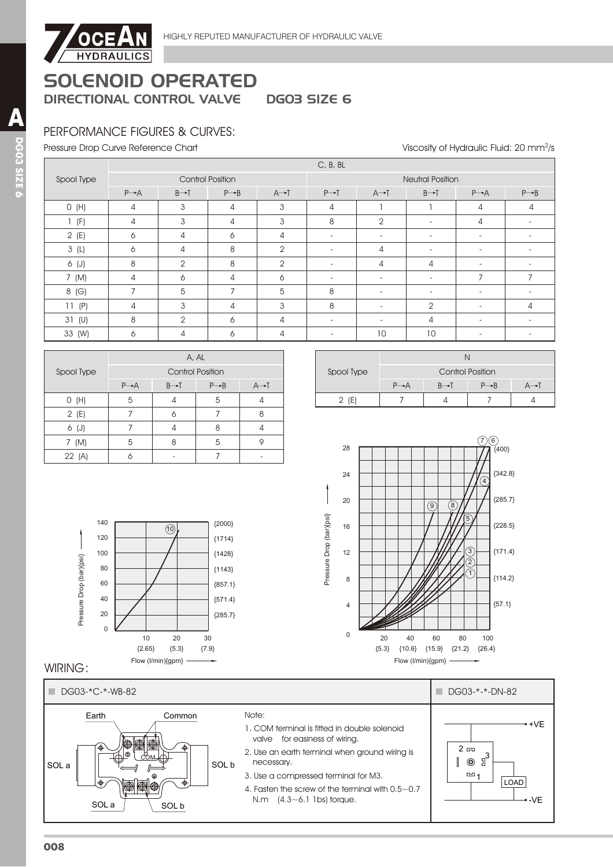

## PERFORMANCE FIGURES & CURVES:

Pressure Drop Curve Reference Chart

Viscosity of Hydraulic Fluid: 20 mm<sup>2</sup>/s

|            | C, B, BL          |                         |                   |                   |                          |                          |                          |                          |                   |
|------------|-------------------|-------------------------|-------------------|-------------------|--------------------------|--------------------------|--------------------------|--------------------------|-------------------|
| Spool Type |                   | <b>Control Position</b> |                   |                   | <b>Neutral Position</b>  |                          |                          |                          |                   |
|            | $P \rightarrow A$ | $B \rightarrow T$       | $P \rightarrow B$ | $A \rightarrow I$ | $P \rightarrow T$        | $A \rightarrow I$        | $B \rightarrow T$        | $P \rightarrow A$        | $P \rightarrow B$ |
| O(H)       | 4                 | 3                       | 4                 | 3                 | 4                        |                          |                          | 4                        | 4                 |
| 1(f)       | 4                 | 3                       | 4                 | 3                 | 8                        | $\overline{2}$           | $\sim$                   | 4                        |                   |
| 2(E)       | 6                 | 4                       | 6                 | 4                 | $\overline{\phantom{a}}$ | $\overline{\phantom{a}}$ | $\sim$                   |                          |                   |
| 3(L)       | 6                 | 4                       | 8                 | 2                 | $\overline{\phantom{0}}$ | 4                        | $\overline{\phantom{a}}$ | $\overline{\phantom{a}}$ |                   |
| 6 (J)      | 8                 | $\overline{2}$          | 8                 | 2                 | $\overline{\phantom{0}}$ | 4                        | 4                        | $\overline{\phantom{a}}$ |                   |
| 7 (M)      | 4                 | 6                       | 4                 | 6                 | $\overline{\phantom{0}}$ | $\overline{\phantom{a}}$ | $\overline{\phantom{a}}$ | $\overline{7}$           |                   |
| 8 (G)      | $\overline{7}$    | 5                       | $\overline{7}$    | 5                 | 8                        | $\overline{\phantom{a}}$ | $\overline{\phantom{a}}$ | $\overline{\phantom{a}}$ |                   |
| 11(P)      | $\overline{4}$    | 3                       | 4                 | 3                 | 8                        | $\overline{\phantom{a}}$ | $\mathfrak{D}$           | $\overline{\phantom{a}}$ | 4                 |
| 31 (U)     | 8                 | 2                       | 6                 | 4                 | $\overline{\phantom{0}}$ |                          | 4                        | $\overline{\phantom{0}}$ |                   |
| 33 (W)     | 6                 | 4                       | 6                 | 4                 |                          | 10                       | 10                       |                          |                   |

|            | A, AL             |                         |                   |                   |  |
|------------|-------------------|-------------------------|-------------------|-------------------|--|
| Spool Type |                   | <b>Control Position</b> |                   |                   |  |
|            | $P \rightarrow A$ | $B \rightarrow T$       | $P \rightarrow B$ | $A \rightarrow I$ |  |
| O(H)       | 5                 |                         | 5                 |                   |  |
| 2(E)       |                   |                         |                   | 8                 |  |
| 6 (J)      |                   |                         | 8                 |                   |  |
| 7 (M)      | 5                 | 8                       | 5                 |                   |  |
| 22 (A)     |                   |                         |                   |                   |  |

10

 ${5.3}$ 20

{7.9} 30

{285.7} {571.4}  ${857.1}$ {1143} {1428} {1714} {2000}

| Spool Type | <b>Control Position</b> |  |                   |  |  |  |
|------------|-------------------------|--|-------------------|--|--|--|
|            | $P \rightarrow A$       |  | $P \rightarrow R$ |  |  |  |
| ſE         |                         |  |                   |  |  |  |



#### WIRING:

Pressure Drop (bar){psi}

Pressure Drop (bar){psi}

 ${2.65}$ 10

Flow (l/min){gpm}

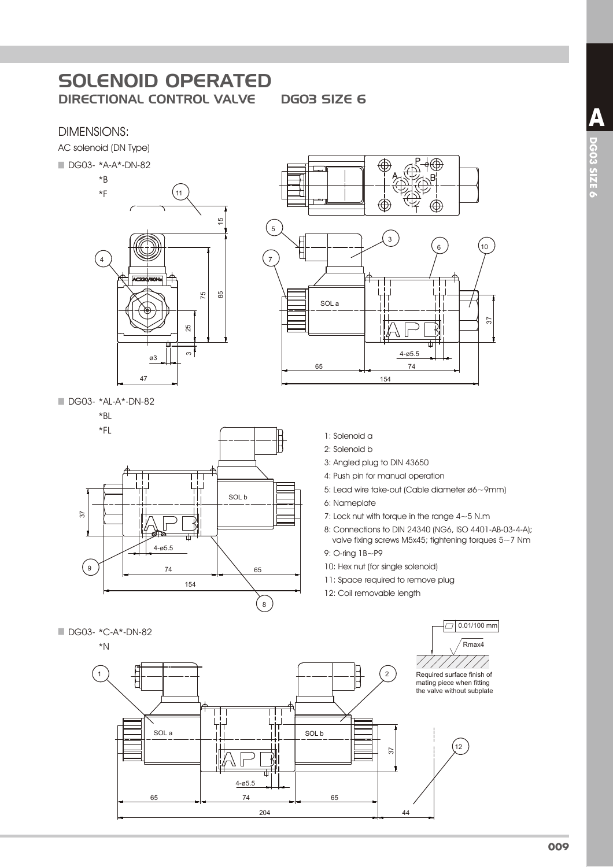**DGO3 SIZE 6** 

#### **DIMENSIONS:**

AC solenoid (DN Type)







DG03- \*AL-A\*-DN-82

#### $*BL$





- 1: Solenoid a
- 2: Solenoid b
- 3: Angled plug to DIN 43650
- 4: Push pin for manual operation
- 5: Lead wire take-out (Cable diameter ø6~9mm)
- 6: Nameplate
- 7: Lock nut with torque in the range  $4 \sim 5$  N.m
- 8: Connections to DIN 24340 (NG6, ISO 4401-AB-03-4-A); valve fixing screws M5x45; tightening torques 5~7 Nm

9: O-ring 1B~P9

- 10: Hex nut (for single solenoid)
- 11: Space required to remove plug
- 12: Coil removable length

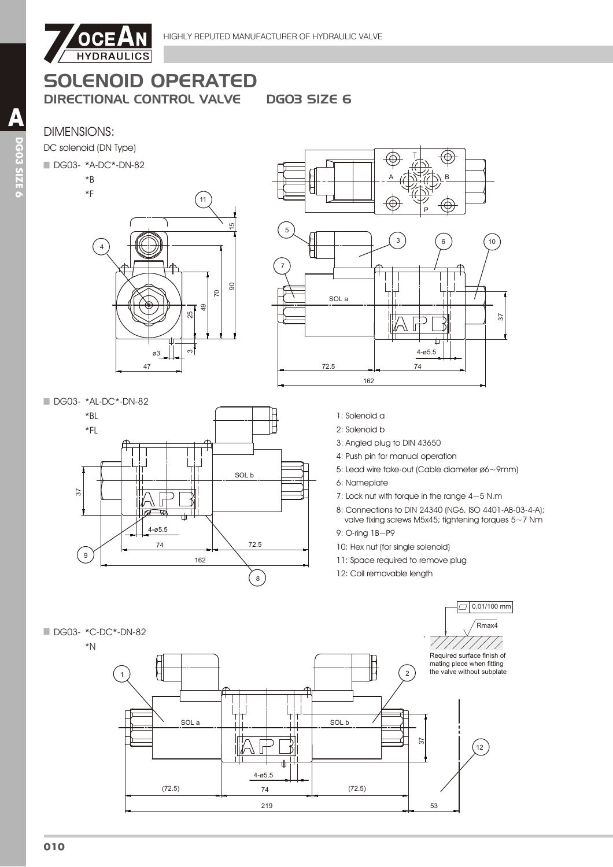

**DGO3 SIZE 6** 

## **DIMENSIONS:**

DC solenoid (DN Type)

#### DG03- \*A-DC\*-DN-82

 $*B$ 







- 1: Solenoid a
- 2: Solenoid b
- 3: Angled plug to DIN 43650
- 4: Push pin for manual operation
- 5: Lead wire take-out (Cable diameter ø6~9mm)
- 6: Nameplate
- 7: Lock nut with torque in the range  $4 \sim 5$  N.m
- 8: Connections to DIN 24340 (NG6, ISO 4401-AB-03-4-A); valve fixing screws M5x45; tightening torques  $5~1$  Nm
- 9: O-ring 1B~P9
- 10: Hex nut (for single solenoid)
- 11: Space required to remove plug
- 12: Coil removable length

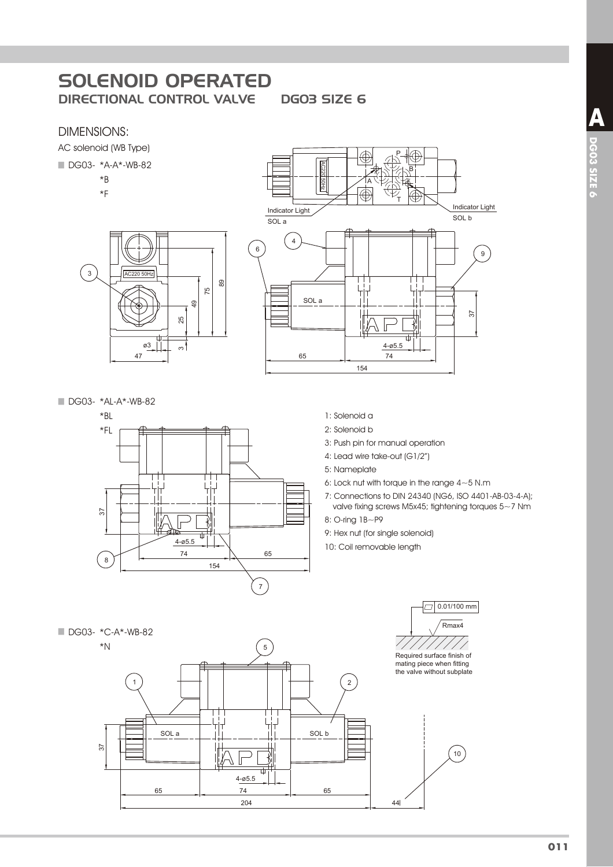### DIMENSIONS:

AC solenoid (WB Type)



- $*B$
- $*F$
- AC220 50Hz  $\left( \begin{array}{c} 3 \end{array} \right)$ 25 49 75 89 47  $\sim$





- 1: Solenoid a
- 2: Solenoid b
- 3: Push pin for manual operation
- 4: Lead wire take-out (G1/2")
- 5: Nameplate
- 6: Lock nut with torque in the range  $4{\sim}5$  N.m.
- 7: Connections to DIN 24340 (NG6, ISO 4401-AB-03-4-A); valve fixing screws M5x45; tightening torques 5~7 Nm
- 8: O-ring 1B~P9
- 9: Hex nut (for single solenoid)
- 10: Coil removable length

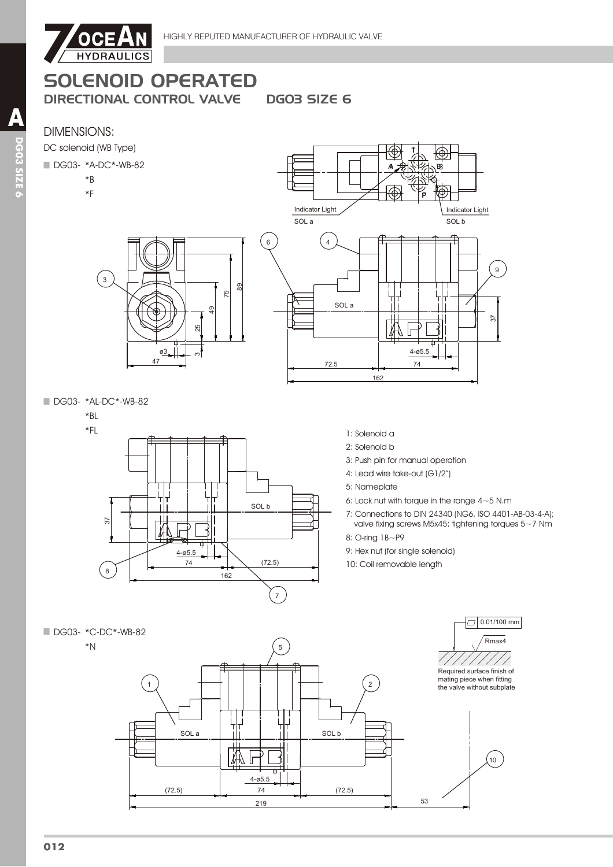

# SOLENOID OPERATED

47 ø<u>3</u> 25

49

75

89

DIRECTIONAL CONTROL VALVE DG03 SIZE 6

# DIMENSIONS:

DC solenoid (WB Type)

#### DG03- \*A-DC\*-WB-82

3

- $*B$
- $*$ F



DG03- \*AL-DC\*-WB-82

 $*BL$ 



- 1: Solenoid a
- 2: Solenoid b
- 3: Push pin for manual operation
- 4: Lead wire take-out (G1/2") 5: Nameplate
- 6: Lock nut with torque in the range 4~5 N.m
- 7: Connections to DIN 24340 (NG6, ISO 4401-AB-03-4-A); valve fixing screws M5x45; tightening torques 5~7 Nm
- 8: O-ring 1B~P9
- 9: Hex nut (for single solenoid)
- 10: Coil removable length

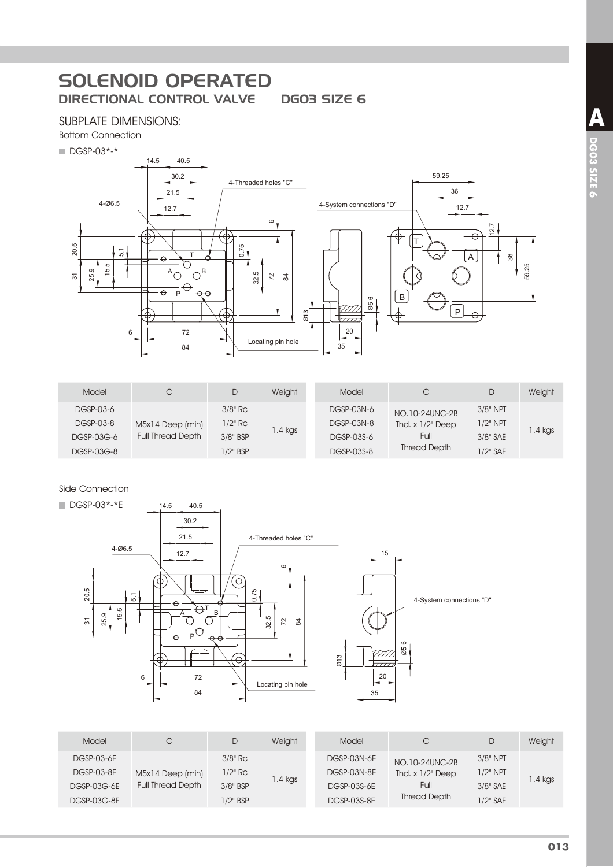#### SUBPLATE DIMENSIONS:



 $\blacksquare$  DGSP-03\*-\*



| Model      | C                        | D           | Weight  | Model      | С                     | D           | Weight  |
|------------|--------------------------|-------------|---------|------------|-----------------------|-------------|---------|
| DGSP-03-6  |                          | $3/8"$ Rc   |         | DGSP-03N-6 | NO.10-24UNC-2B        | $3/8"$ NPT  |         |
| DGSP-03-8  | M5x14 Deep (min)         | $1/2"$ Rc   |         | DGSP-03N-8 | Thd. $x$ $1/2$ " Deep | $1/2$ " NPT |         |
| DGSP-03G-6 | <b>Full Thread Depth</b> | 3/8" BSP    | 1.4 kgs | DGSP-03S-6 | Full                  | 3/8" SAE    | I.4 kgs |
| DGSP-03G-8 |                          | $1/2$ " BSP |         | DGSP-03S-8 | <b>Thread Depth</b>   | 1/2" SAE    |         |

#### Side Connection



Model C D Weight DGSP-03-6E 0['HHSPLQ '\*63( 5F DGSP-03G-6E Full Thread Depth 3/8" BSP  $3/8$ " Rc  $1.4$  kgs DGSP-03G-8E 1/2" BSP Model C D Weight DGSP-03N-6E<br>DGSP-03N-8E That x 1/2" Deep 7KG['HHS '\*631( 137 Full Thread Depth 3/8" NPT 1.4 kgs DGSP-03S-6E Full 3/8" SAE DGSP-03S-8E Inread Depth 1/2" SAE